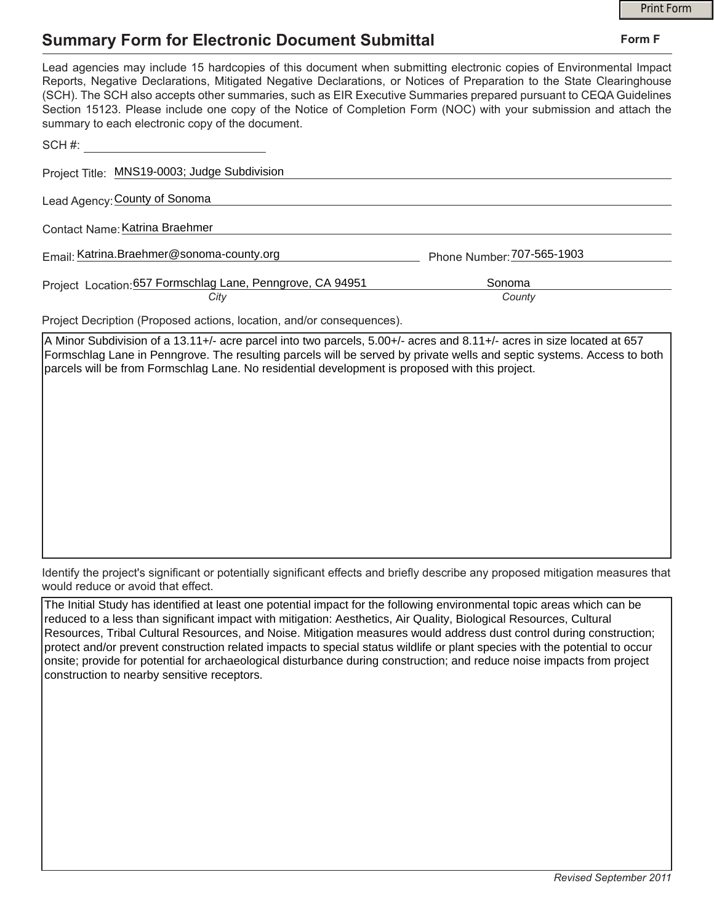## **Summary Form for Electronic Document Submittal**

|                                                                                                                                                                                                                                                                                                                                                                                                                                                                                                                                           |                            | <b>Print Form</b> |
|-------------------------------------------------------------------------------------------------------------------------------------------------------------------------------------------------------------------------------------------------------------------------------------------------------------------------------------------------------------------------------------------------------------------------------------------------------------------------------------------------------------------------------------------|----------------------------|-------------------|
| <b>Summary Form for Electronic Document Submittal</b>                                                                                                                                                                                                                                                                                                                                                                                                                                                                                     |                            | Form F            |
| Lead agencies may include 15 hardcopies of this document when submitting electronic copies of Environmental Impact<br>Reports, Negative Declarations, Mitigated Negative Declarations, or Notices of Preparation to the State Clearinghouse<br>(SCH). The SCH also accepts other summaries, such as EIR Executive Summaries prepared pursuant to CEQA Guidelines<br>Section 15123. Please include one copy of the Notice of Completion Form (NOC) with your submission and attach the<br>summary to each electronic copy of the document. |                            |                   |
| SCH#:                                                                                                                                                                                                                                                                                                                                                                                                                                                                                                                                     |                            |                   |
| Project Title: MNS19-0003; Judge Subdivision                                                                                                                                                                                                                                                                                                                                                                                                                                                                                              |                            |                   |
| Lead Agency: County of Sonoma                                                                                                                                                                                                                                                                                                                                                                                                                                                                                                             |                            |                   |
| Contact Name: Katrina Braehmer                                                                                                                                                                                                                                                                                                                                                                                                                                                                                                            |                            |                   |
| Email: Katrina.Braehmer@sonoma-county.org                                                                                                                                                                                                                                                                                                                                                                                                                                                                                                 | Phone Number: 707-565-1903 |                   |
| Project Location: 657 Formschlag Lane, Penngrove, CA 94951<br>City                                                                                                                                                                                                                                                                                                                                                                                                                                                                        | Sonoma<br>County           |                   |
| Project Decription (Proposed actions, location, and/or consequences).                                                                                                                                                                                                                                                                                                                                                                                                                                                                     |                            |                   |
| A Minor Subdivision of a 13.11+/- acre parcel into two parcels, 5.00+/- acres and 8.11+/- acres in size located at 657                                                                                                                                                                                                                                                                                                                                                                                                                    |                            |                   |

Formschlag Lane in Penngrove. The resulting parcels will be served by private wells and septic systems. Access to both

parcels will be from Formschlag Lane. No residential development is proposed with this project.

Identify the project's significant or potentially significant effects and briefly describe any proposed mitigation measures that would reduce or avoid that effect.

The Initial Study has identified at least one potential impact for the following environmental topic areas which can be reduced to a less than significant impact with mitigation: Aesthetics, Air Quality, Biological Resources, Cultural Resources, Tribal Cultural Resources, and Noise. Mitigation measures would address dust control during construction; protect and/or prevent construction related impacts to special status wildlife or plant species with the potential to occur onsite; provide for potential for archaeological disturbance during construction; and reduce noise impacts from project construction to nearby sensitive receptors.